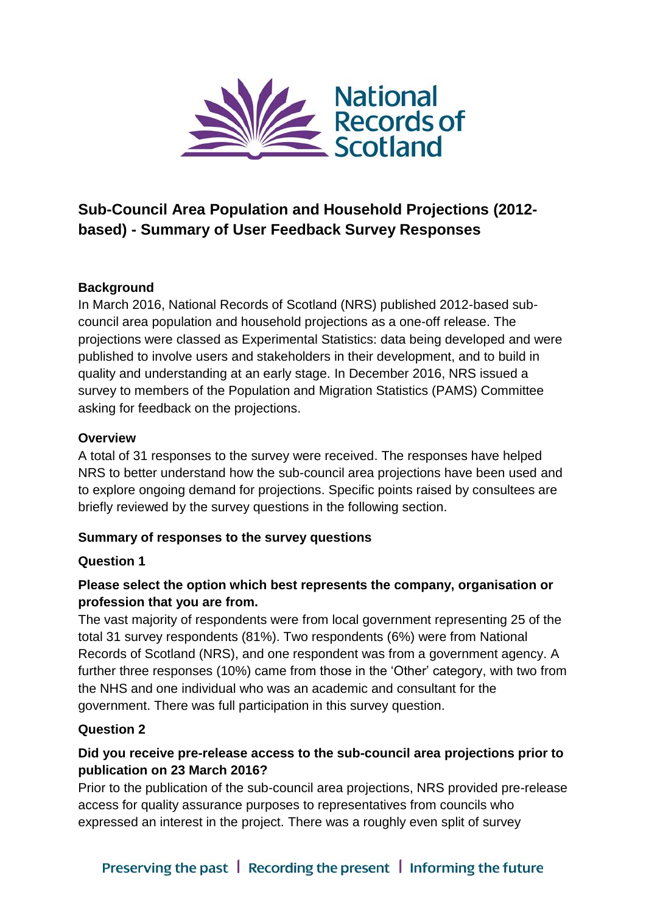

# **Sub-Council Area Population and Household Projections (2012 based) - Summary of User Feedback Survey Responses**

#### **Background**

In March 2016, National Records of Scotland (NRS) published 2012-based subcouncil area population and household projections as a one-off release. The projections were classed as Experimental Statistics: data being developed and were published to involve users and stakeholders in their development, and to build in quality and understanding at an early stage. In December 2016, NRS issued a survey to members of the Population and Migration Statistics (PAMS) Committee asking for feedback on the projections.

#### **Overview**

A total of 31 responses to the survey were received. The responses have helped NRS to better understand how the sub-council area projections have been used and to explore ongoing demand for projections. Specific points raised by consultees are briefly reviewed by the survey questions in the following section.

#### **Summary of responses to the survey questions**

#### **Question 1**

#### **Please select the option which best represents the company, organisation or profession that you are from.**

The vast majority of respondents were from local government representing 25 of the total 31 survey respondents (81%). Two respondents (6%) were from National Records of Scotland (NRS), and one respondent was from a government agency. A further three responses (10%) came from those in the 'Other' category, with two from the NHS and one individual who was an academic and consultant for the government. There was full participation in this survey question.

#### **Question 2**

#### **Did you receive pre-release access to the sub-council area projections prior to publication on 23 March 2016?**

Prior to the publication of the sub-council area projections, NRS provided pre-release access for quality assurance purposes to representatives from councils who expressed an interest in the project. There was a roughly even split of survey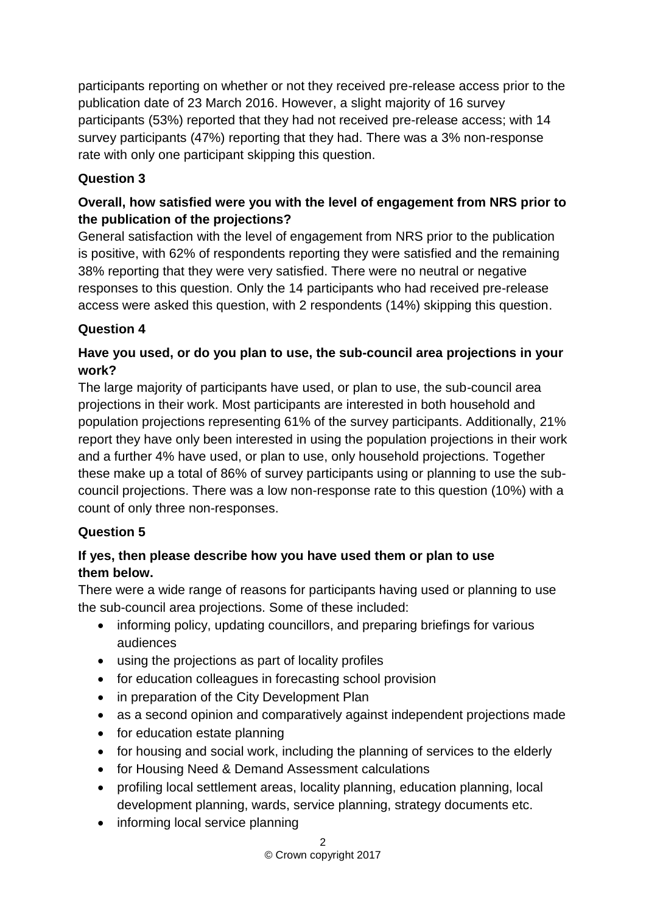participants reporting on whether or not they received pre-release access prior to the publication date of 23 March 2016. However, a slight majority of 16 survey participants (53%) reported that they had not received pre-release access; with 14 survey participants (47%) reporting that they had. There was a 3% non-response rate with only one participant skipping this question.

# **Question 3**

# **Overall, how satisfied were you with the level of engagement from NRS prior to the publication of the projections?**

General satisfaction with the level of engagement from NRS prior to the publication is positive, with 62% of respondents reporting they were satisfied and the remaining 38% reporting that they were very satisfied. There were no neutral or negative responses to this question. Only the 14 participants who had received pre-release access were asked this question, with 2 respondents (14%) skipping this question.

#### **Question 4**

# **Have you used, or do you plan to use, the sub-council area projections in your work?**

The large majority of participants have used, or plan to use, the sub-council area projections in their work. Most participants are interested in both household and population projections representing 61% of the survey participants. Additionally, 21% report they have only been interested in using the population projections in their work and a further 4% have used, or plan to use, only household projections. Together these make up a total of 86% of survey participants using or planning to use the subcouncil projections. There was a low non-response rate to this question (10%) with a count of only three non-responses.

#### **Question 5**

#### **If yes, then please describe how you have used them or plan to use them below.**

There were a wide range of reasons for participants having used or planning to use the sub-council area projections. Some of these included:

- informing policy, updating councillors, and preparing briefings for various audiences
- using the projections as part of locality profiles
- for education colleagues in forecasting school provision
- in preparation of the City Development Plan
- as a second opinion and comparatively against independent projections made
- for education estate planning
- for housing and social work, including the planning of services to the elderly
- for Housing Need & Demand Assessment calculations
- profiling local settlement areas, locality planning, education planning, local development planning, wards, service planning, strategy documents etc.
- informing local service planning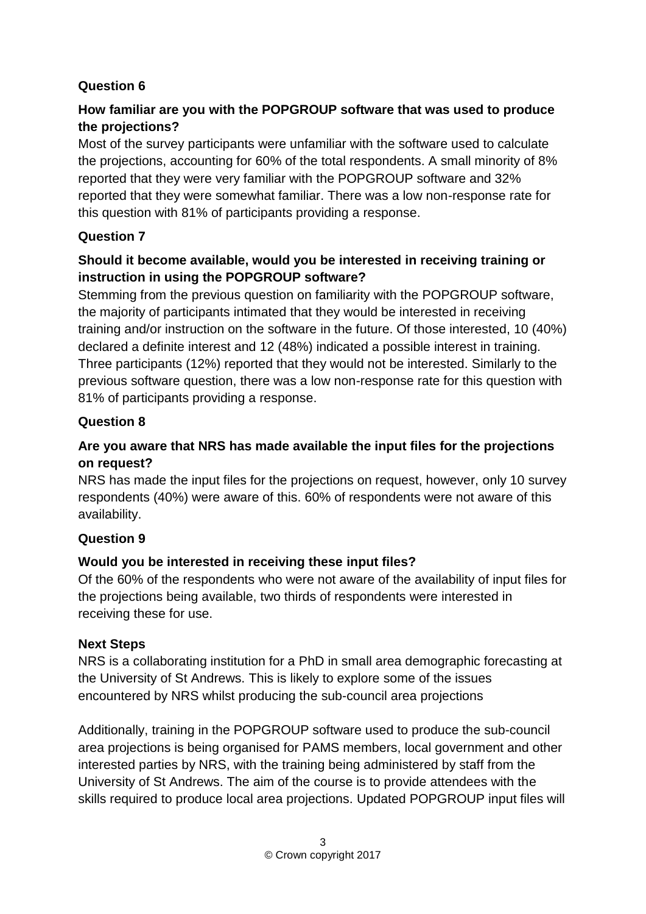#### **Question 6**

# **How familiar are you with the POPGROUP software that was used to produce the projections?**

Most of the survey participants were unfamiliar with the software used to calculate the projections, accounting for 60% of the total respondents. A small minority of 8% reported that they were very familiar with the POPGROUP software and 32% reported that they were somewhat familiar. There was a low non-response rate for this question with 81% of participants providing a response.

# **Question 7**

# **Should it become available, would you be interested in receiving training or instruction in using the POPGROUP software?**

Stemming from the previous question on familiarity with the POPGROUP software, the majority of participants intimated that they would be interested in receiving training and/or instruction on the software in the future. Of those interested, 10 (40%) declared a definite interest and 12 (48%) indicated a possible interest in training. Three participants (12%) reported that they would not be interested. Similarly to the previous software question, there was a low non-response rate for this question with 81% of participants providing a response.

#### **Question 8**

# **Are you aware that NRS has made available the input files for the projections on request?**

NRS has made the input files for the projections on request, however, only 10 survey respondents (40%) were aware of this. 60% of respondents were not aware of this availability.

#### **Question 9**

#### **Would you be interested in receiving these input files?**

Of the 60% of the respondents who were not aware of the availability of input files for the projections being available, two thirds of respondents were interested in receiving these for use.

#### **Next Steps**

NRS is a collaborating institution for a PhD in small area demographic forecasting at the University of St Andrews. This is likely to explore some of the issues encountered by NRS whilst producing the sub-council area projections

Additionally, training in the POPGROUP software used to produce the sub-council area projections is being organised for PAMS members, local government and other interested parties by NRS, with the training being administered by staff from the University of St Andrews. The aim of the course is to provide attendees with the skills required to produce local area projections. Updated POPGROUP input files will